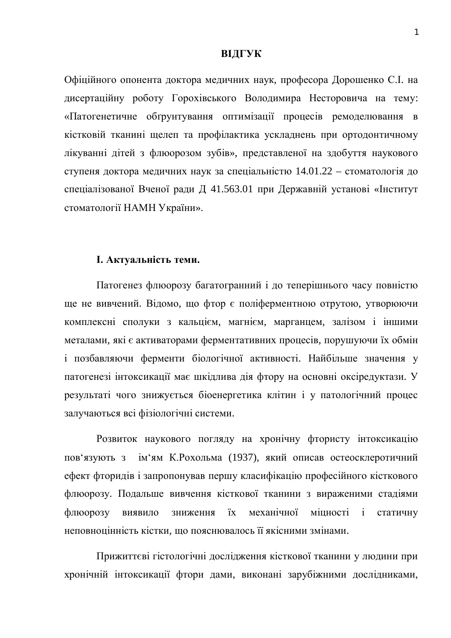### **ВІДГУК**

Офіційного опонента доктора медичних наук, професора Дорошенко С.І. на дисертаційну роботу Горохівського Володимира Несторовича на тему: «Патогенетичне обґрунтування оптимізації процесів ремоделювання в кістковій тканині щелеп та профілактика ускладнень при ортодонтичному лікуванні дітей з флюорозом зубів», представленої на здобуття наукового ступеня доктора медичних наук за спеціальністю 14.01.22 – стоматологія до спеціалізованої Вченої ради Д 41.563.01 при Державній установі «Інститут стоматології НАМН України».

### **I.** Актуальність теми.

Патогенез флюорозу багатогранний і до теперішнього часу повністю ще не вивчений. Відомо, що фтор є поліферментною отрутою, утворюючи комплексні сполуки з кальцієм, магнієм, марганцем, залізом і іншими металами, які є активаторами ферментативних процесів, порушуючи їх обмін і позбавляючи ферменти біологічної активності. Найбільше значення у патогенезі інтоксикації має шкідлива дія фтору на основні оксіредуктази. У результаті чого знижується біоенергетика клітин і у патологічний процес залучаються всі фізіологічні системи.

Розвиток наукового погляду на хронічну фтористу інтоксикацію пов'язують з ім'ям К. Рохольма (1937), який описав остеосклеротичний ефект фторидів і запропонував першу класифікацію професійного кісткового флюорозу. Подальше вивчення кісткової тканини з вираженими стадіями флюорозу виявило зниження їх механічної мішності і статичну неповноцінність кістки, що пояснювалось її якісними змінами.

Прижиттєві гістологічні дослідження кісткової тканини у людини при хронічній інтоксикації фтори дами, виконані зарубіжними дослідниками,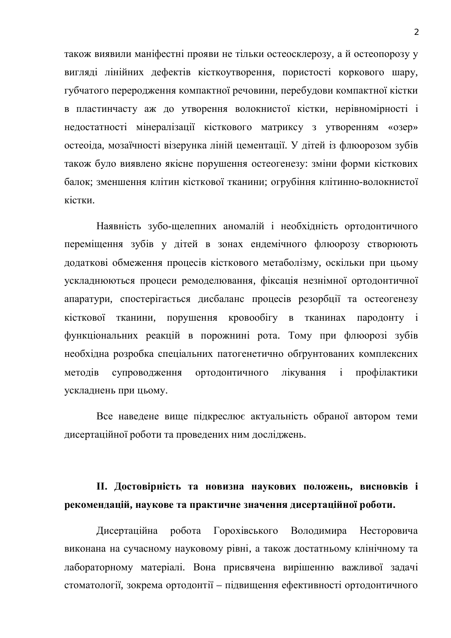також виявили маніфестні прояви не тільки остеосклерозу, а й остеопорозу у вигляді лінійних дефектів кісткоутворення, пористості коркового шару, губчатого переродження компактної речовини, перебудови компактної кістки в пластинчасту аж до утворення волокнистої кістки, нерівномірності і недостатності мінералізації кісткового матриксу з утворенням «озер» остеоіда, мозаїчності візерунка ліній цементації. У дітей із флюорозом зубів також було виявлено якісне порушення остеогенезу: зміни форми кісткових балок; зменшення клітин кісткової тканини; огрубіння клітинно-волокнистої кістки.

Наявність зубо-щелепних аномалій і необхідність ортодонтичного переміщення зубів у дітей в зонах ендемічного флюорозу створюють додаткові обмеження процесів кісткового метаболізму, оскільки при цьому ускладнюються процеси ремоделювання, фіксація незнімної ортодонтичної апаратури, спостерігається дисбаланс процесів резорбції та остеогенезу кісткової тканини, порушення кровообігу в тканинах пародонту і функціональних реакцій в порожнині рота. Тому при флюорозі зубів необхідна розробка спеціальних патогенетично обґрунтованих комплексних методів супроводження ортодонтичного лікування і профілактики ускладнень при цьому.

Все наведене вище підкреслює актуальність обраної автором теми дисертаційної роботи та проведених ним досліджень.

# П. Достовірність та новизна наукових положень, висновків і **рекомендацій, наукове та практичне значення дисертаційної роботи.**

Дисертаційна робота Горохівського Володимира Несторовича виконана на сучасному науковому рівні, а також достатньому клінічному та лабораторному матеріалі. Вона присвячена вирішенню важливої задачі стоматології, зокрема ортодонтії – підвищення ефективності ортодонтичного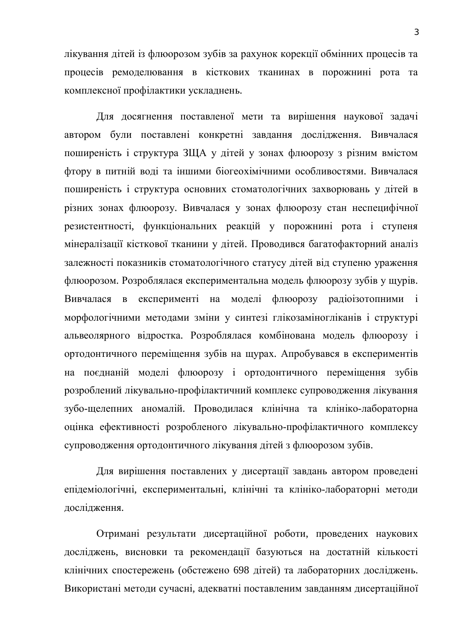лікування дітей із флюорозом зубів за рахунок корекції обмінних процесів та процесів ремоделювання в кісткових тканинах в порожнині рота та комплексної профілактики ускладнень.

Для досягнення поставленої мети та вирішення наукової задачі автором були поставлені конкретні завдання дослідження. Вивчалася поширеність і структура ЗЩА у дітей у зонах флюорозу з різним вмістом фтору в питній воді та іншими біогеохімічними особливостями. Вивчалася поширеність і структура основних стоматологічних захворювань у дітей в різних зонах флюорозу. Вивчалася у зонах флюорозу стан неспецифічної резистентності, функціональних реакцій у порожнині рота і ступеня мінералізації кісткової тканини у дітей. Проводився багатофакторний аналіз залежності показників стоматологічного статусу дітей від ступеню ураження флюорозом. Розроблялася експериментальна модель флюорозу зубів у щурів. Вивчалася в експерименті на моделі флюорозу радіоізотопними і морфологічними методами зміни у синтезі глікозаміногліканів і структурі альвеолярного відростка. Розроблялася комбінована модель флюорозу і ортодонтичного переміщення зубів на щурах. Апробувався в експериментів на поєднаній моделі флюорозу і ортодонтичного переміщення зубів розроблений лікувально-профілактичний комплекс супроводження лікування зубо-щелепних аномалій. Проводилася клінічна та клініко-лабораторна оцінка ефективності розробленого лікувально-профілактичного комплексу супроводження ортодонтичного лікування дітей з флюорозом зубів.

Для вирішення поставлених у дисертації завдань автором проведені епідеміологічні, експериментальні, клінічні та клініко-лабораторні методи дослідження.

Отримані результати дисертаційної роботи, проведених наукових досліджень, висновки та рекомендації базуються на достатній кількості клінічних спостережень (обстежено 698 дітей) та лабораторних досліджень. Використані методи сучасні, адекватні поставленим завданням дисертаційної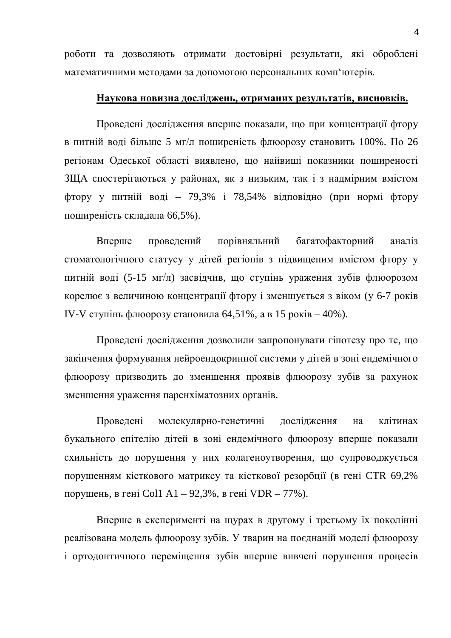роботи та дозволяють отримати достовірні результати, які оброблені математичними методами за допомогою персональних комп'ютерів.

## Наукова новизна досліджень, отриманих результатів, висновків.

Проведені дослідження вперше показали, що при концентрації фтору в питній воді більше 5 мг/л поширеність флюорозу становить 100%. По 26 регіонам Одеської області виявлено, що найвищі показники поширеності ЗША спостерігаються у районах, як з низьким, так і з надмірним вмістом фтору у питній воді – 79,3% і 78,54% відповідно (при нормі фтору поширеність складала 66,5%).

Вперше проведений порівняльний багатофакторний аналіз стоматологічного статусу у дітей регіонів з підвищеним вмістом фтору у питній воді (5-15 мг/л) засвідчив, що ступінь ураження зубів флюорозом корелює з величиною концентрації фтору і зменшується з віком (у 6-7 років IV-V ступінь флюорозу становила 64,51%, а в 15 років – 40%).

Проведені дослідження дозволили запропонувати гіпотезу про те, що закінчення формування нейроендокринної системи у дітей в зоні ендемічного флюорозу призводить до зменшення проявів флюорозу зубів за рахунок зменшення ураження паренхіматозних органів.

Проведені молекулярно-генетичні дослідження на клітинах букального епітелію дітей в зоні ендемічного флюорозу вперше показали схильність до порушення у них колагеноутворення, що супроводжується порушенням кісткового матриксу та кісткової резорбції (в гені CTR 69,2% порушень, в гені Col1 A1 – 92,3%, в гені VDR – 77%).

Вперше в експерименті на щурах в другому і третьому їх поколінні реалізована модель флюорозу зубів. У тварин на поєднаній моделі флюорозу і ортодонтичного переміщення зубів вперше вивчені порушення процесів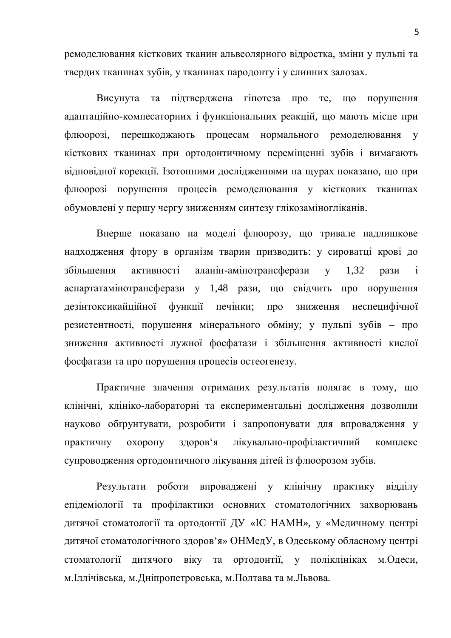ремоделювання кісткових тканин альвеолярного відростка, зміни у пульпі та твердих тканинах зубів, у тканинах пародонту і у слинних залозах.

Висунута та підтверджена гіпотеза про те, що порушення адаптаційно-компесаторних і функціональних реакцій, що мають місце при флюорозі, перешкоджають процесам нормального ремоделювання у кісткових тканинах при ортодонтичному переміщенні зубів і вимагають відповідної корекції. Ізотопними дослідженнями на щурах показано, що при флюорозі порушення процесів ремоделювання у кісткових тканинах обумовлені у першу чергу зниженням синтезу глікозаміногліканів.

Вперше показано на моделі флюорозу, що тривале надлишкове надходження фтору в організм тварин призводить: у сироватці крові до збільшення активності аланін-амінотрансферази у 1.32 рази і аспартатамінотрансферази у 1,48 рази, що свідчить про порушення дезінтоксикайційної функції печінки; про зниження неспецифічної резистентності, порушення мінерального обміну; у пульпі зубів – про зниження активності лужної фосфатази і збільшення активності кислої фосфатази та про порушення процесів остеогенезу.

Практичне значення отриманих результатів полягає в тому, що клінічні, клініко-лабораторні та експериментальні дослідження дозволили науково обгрунтувати, розробити і запропонувати для впровадження у практичну охорону здоров'я лікувально-профілактичний комплекс супроводження ортодонтичного лікування дітей із флюорозом зубів.

Результати роботи впроваджені у клінічну практику відділу епідеміології та профілактики основних стоматологічних захворювань дитячої стоматології та ортодонтії ДУ «ІС НАМН», у «Медичному центрі дитячої стоматологічного здоров'я» ОНМедУ, в Одеському обласному центрі стоматології дитячого віку та ортодонтії, у поліклініках м. Одеси, м. Іллічівська, м. Дніпропетровська, м. Полтава та м. Львова.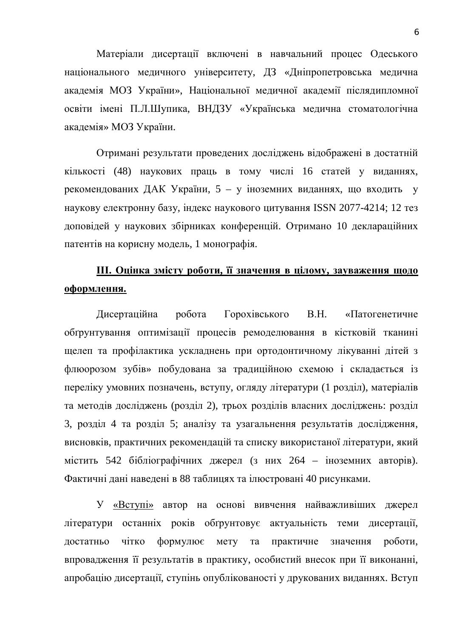Матеріали дисертації включені в навчальний процес Одеського національного медичного університету, ДЗ «Дніпропетровська медична академія МОЗ України», Національної медичної академії післядипломної освіти імені П.Л.Шупика, ВНДЗУ «Українська медична стоматологічна академія» МОЗ України.

Отримані результати проведених досліджень відображені в достатній кількості (48) наукових праць в тому числі 16 статей у виданнях, рекомендованих ДАК України, 5 – у іноземних виданнях, що входить у наукову електронну базу, індекс наукового цитування ISSN 2077-4214; 12 тез доповідей у наукових збірниках конференцій. Отримано 10 деклараційних патентів на корисну модель, 1 монографія.

# Ш. Оцінка змісту роботи, її значення в цілому, зауваження щодо  $\boldsymbol{\theta}$ формлення.

Дисертаційна робота Горохівського В.Н. «Патогенетичне обґрунтування оптимізації процесів ремоделювання в кістковій тканині щелеп та профілактика ускладнень при ортодонтичному лікуванні дітей з флюорозом зубів» побудована за традиційною схемою і складається із переліку умовних позначень, вступу, огляду літератури (1 розділ), матеріалів та методів досліджень (розділ 2), трьох розділів власних досліджень: розділ 3, розділ 4 та розділ 5; аналізу та узагальнення результатів дослідження, висновків, практичних рекомендацій та списку використаної літератури, який містить 542 бібліографічних джерел (з них 264 – іноземних авторів). Фактичні дані наведені в 88 таблицях та ілюстровані 40 рисунками.

У «Вступі» автор на основі вивчення найважливіших джерел літератури останніх років обґрунтовує актуальність теми дисертації, достатньо чітко формулює мету та практичне значення роботи, впровадження її результатів в практику, особистий внесок при її виконанні, апробацію дисертації, ступінь опублікованості у друкованих виданнях. Вступ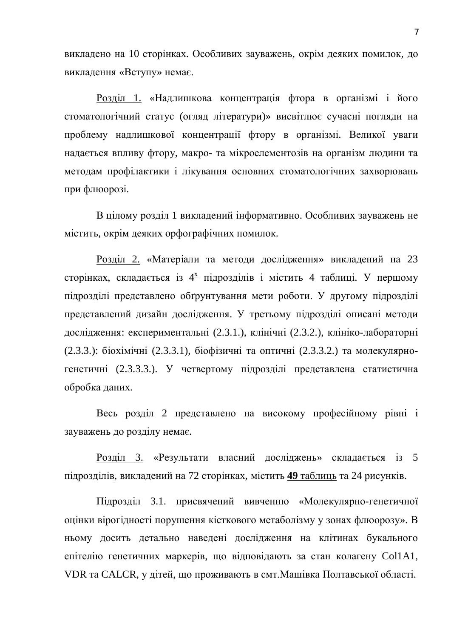викладено на 10 сторінках. Особливих зауважень, окрім деяких помилок, до викладення «Вступу» немає.

Розділ 1. «Надлишкова концентрація фтора в організмі і його стоматологічний статус (огляд літератури)» висвітлює сучасні погляди на проблему надлишкової концентрації фтору в організмі. Великої уваги надається впливу фтору, макро- та мікроелементозів на організм людини та методам профілактики і лікування основних стоматологічних захворювань при флюорозі.

В цілому розділ 1 викладений інформативно. Особливих зауважень не містить, окрім деяких орфографічних помилок.

<u>Розділ 2.</u> «Матеріали та методи дослідження» викладений на 23 сторінках, складається із 4<sup>x</sup> підрозділів і містить 4 таблиці. У першому підрозділі представлено обґрунтування мети роботи. У другому підрозділі представлений дизайн дослідження. У третьому підрозділі описані методи дослідження: експериментальні (2.3.1.), клінічні (2.3.2.), клініко-лабораторні (2.3.3.): біохімічні (2.3.3.1), біофізичні та оптичні (2.3.3.2.) та молекулярногенетичні (2.3.3.3.). У четвертому підрозділі представлена статистична обробка даних.

Весь розділ 2 представлено на високому професійному рівні і зауважень до розділу немає.

Розділ 3. «Результати власний досліджень» складається із 5 підрозділів, викладений на 72 сторінках, містить 49 таблиць та 24 рисунків.

Підрозділ 3.1. присвячений вивченню «Молекулярно-генетичної оцінки вірогідності порушення кісткового метаболізму у зонах флюорозу». В ньому досить детально наведені дослідження на клітинах букального епітелію генетичних маркерів, що відповідають за стан колагену Col1A1, VDR та CALCR, у дітей, що проживають в смт. Машівка Полтавської області.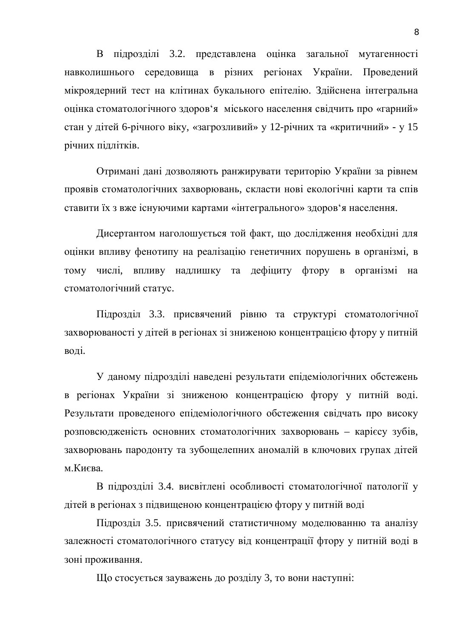В підрозділі 3.2. представлена оцінка загальної мутагенності навколишнього середовища в різних регіонах України. Проведений мікроядерний тест на клітинах букального епітелію. Здійснена інтегральна оцінка стоматологічного здоров'я міського населення свідчить про «гарний» стан у дітей 6-річного віку, «загрозливий» у 12-річних та «критичний» - у 15 річних підлітків.

Отримані дані дозволяють ранжирувати територію України за рівнем проявів стоматологічних захворювань, скласти нові екологічні карти та спів ставити їх з вже існуючими картами «інтегрального» здоров'я населення.

Дисертантом наголошується той факт, що дослідження необхідні для оцінки впливу фенотипу на реалізацію генетичних порушень в організмі, в тому числі, впливу надлишку та дефіциту фтору в організмі на стоматологічний статус.

Підрозділ 3.3. присвячений рівню та структурі стоматологічної захворюваності у дітей в регіонах зі зниженою концентрацією фтору у питній воді.

У даному підрозділі наведені результати епідеміологічних обстежень в регіонах України зі зниженою концентрацією фтору у питній воді. Результати проведеного епідеміологічного обстеження свідчать про високу розповсюдженість основних стоматологічних захворювань - карієсу зубів, захворювань пародонту та зубощелепних аномалій в ключових групах дітей м.Києва.

В підрозділі 3.4. висвітлені особливості стоматологічної патології у дітей в регіонах з підвищеною концентрацією фтору у питній воді

Підрозділ 3.5. присвячений статистичному моделюванню та аналізу залежності стоматологічного статусу від концентрації фтору у питній воді в зоні проживання.

Що стосується зауважень до розділу 3, то вони наступні: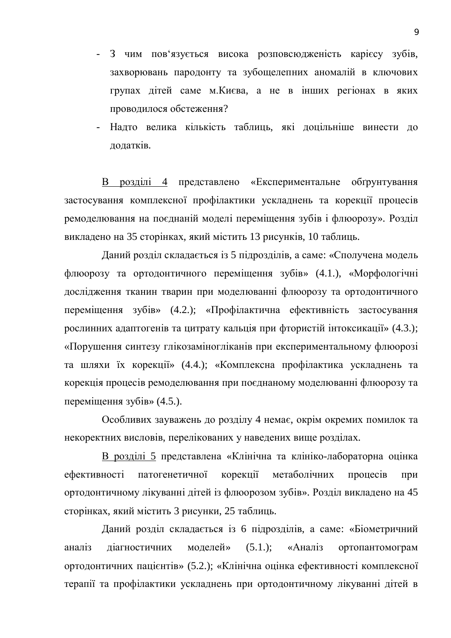- З чим пов'язується висока розповсюдженість карієсу зубів, захворювань пародонту та зубощелепних аномалій в ключових групах дітей саме м. Києва, а не в інших регіонах в яких проводилося обстеження?
- Надто велика кількість таблиць, які доцільніше винести до додатків.

В розділі 4 представлено «Експериментальне обґрунтування застосування комплексної профілактики ускладнень та корекції процесів ремоделювання на поєднаній моделі переміщення зубів і флюорозу». Розділ викладено на 35 сторінках, який містить 13 рисунків, 10 таблиць.

Даний розділ складається із 5 підрозділів, а саме: «Сполучена модель флюорозу та ортодонтичного переміщення зубів» (4.1.), «Морфологічні дослідження тканин тварин при моделюванні флюорозу та ортодонтичного переміщення зубів» (4.2.); «Профілактична ефективність застосування рослинних адаптогенів та цитрату кальція при фтористій інтоксикації» (4.3.); «Порушення синтезу глікозаміногліканів при експериментальному флюорозі та шляхи їх корекції» (4.4.); «Комплексна профілактика ускладнень та корекція процесів ремоделювання при поєднаному моделюванні флюорозу та переміщення зубів»  $(4.5.)$ .

Особливих зауважень до розділу 4 немає, окрім окремих помилок та некоректних висловів, перелікованих у наведених вище розділах.

В розділі 5 представлена «Клінічна та клініко-лабораторна оцінка ефективності патогенетичної корекції метаболічних процесів при ортодонтичному лікуванні дітей із флюорозом зубів». Розділ викладено на 45 сторінках, який містить 3 рисунки, 25 таблиць.

Даний розділ складається із 6 підрозділів, а саме: «Біометричний аналіз діагностичних моделей» (5.1.); «Аналіз ортопантомограм ортодонтичних пацієнтів» (5.2.); «Клінічна оцінка ефективності комплексної терапії та профілактики ускладнень при ортодонтичному лікуванні дітей в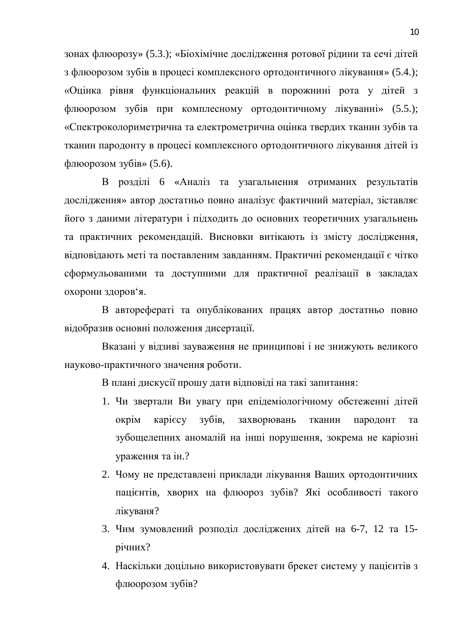зонах флюорозу» (5.3.); «Біохімічне дослідження ротової рідини та сечі дітей з флюорозом зубів в процесі комплексного ортодонтичного лікування» (5.4.); «Оцінка рівня функціональних реакцій в порожнині рота у дітей з флюорозом зубів при комплесному ортодонтичному лікуванні» (5.5.); «Спектроколориметрична та електрометрична оцінка твердих тканин зубів та тканин пародонту в процесі комплексного ортодонтичного лікування дітей із  $\phi$ люорозом зубів» (5.6).

В розділі 6 «Аналіз та узагальнення отриманих результатів дослідження» автор достатньо повно аналізує фактичний матеріал, зіставляє його з даними літератури і підходить до основних теоретичних узагальнень та практичних рекомендацій. Висновки витікають із змісту дослідження, відповідають меті та поставленим завданням. Практичні рекомендації є чітко сформульованими та доступними для практичної реалізації в закладах охорони здоров'я.

В авторефераті та опублікованих працях автор достатньо повно відобразив основні положення дисертації.

Вказані у відзиві зауваження не принципові і не знижують великого науково-практичного значення роботи.

В плані дискусії прошу дати відповіді на такі запитання:

- 1. Чи звертали Ви увагу при епідеміологічному обстеженні дітей окрім карієсу зубів, захворювань тканин пародонт та зубощелепних аномалій на інші порушення, зокрема не каріозні ураження та ін.?
- 2. Чому не представлені приклади лікування Ваших ортодонтичних пацієнтів, хворих на флюороз зубів? Які особливості такого лікуваня?
- 3. Чим зумовлений розподіл досліджених дітей на 6-7, 12 та 15річних?
- 4. Наскільки доцільно використовувати брекет систему у пацієнтів з флюорозом зубів?